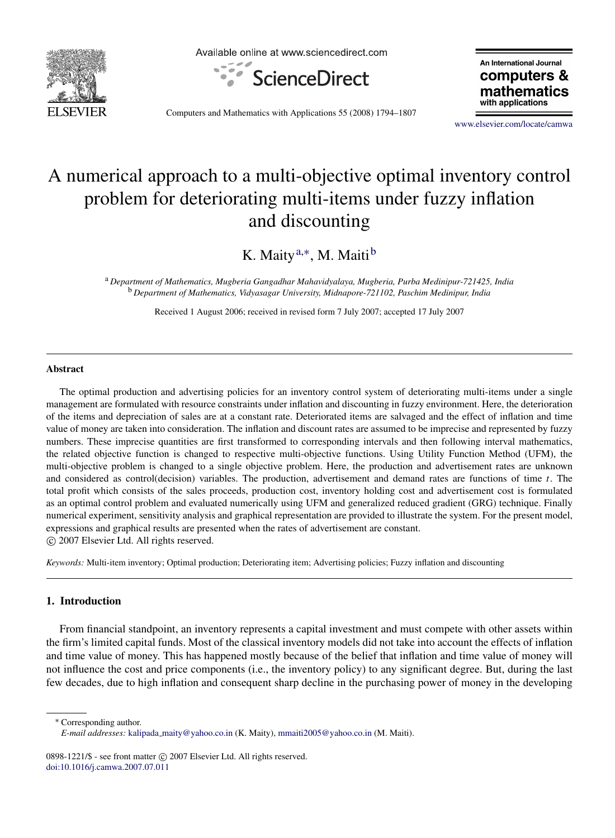

Available online at www.sciencedirect.com



An International Journal computers & mathematics with applications

Computers and Mathematics with Applications 55 (2008) 1794–1807

[www.elsevier.com/locate/camwa](http://www.elsevier.com/locate/camwa)

## A numerical approach to a multi-objective optimal inventory control problem for deteriorating multi-items under fuzzy inflation and discounting

K. Maity<sup>[a,](#page-0-0)\*</sup>, M. Maiti<sup>[b](#page-0-2)</sup>

<span id="page-0-2"></span><span id="page-0-0"></span><sup>a</sup> *Department of Mathematics, Mugberia Gangadhar Mahavidyalaya, Mugberia, Purba Medinipur-721425, India* <sup>b</sup> *Department of Mathematics, Vidyasagar University, Midnapore-721102, Paschim Medinipur, India*

Received 1 August 2006; received in revised form 7 July 2007; accepted 17 July 2007

## Abstract

The optimal production and advertising policies for an inventory control system of deteriorating multi-items under a single management are formulated with resource constraints under inflation and discounting in fuzzy environment. Here, the deterioration of the items and depreciation of sales are at a constant rate. Deteriorated items are salvaged and the effect of inflation and time value of money are taken into consideration. The inflation and discount rates are assumed to be imprecise and represented by fuzzy numbers. These imprecise quantities are first transformed to corresponding intervals and then following interval mathematics, the related objective function is changed to respective multi-objective functions. Using Utility Function Method (UFM), the multi-objective problem is changed to a single objective problem. Here, the production and advertisement rates are unknown and considered as control(decision) variables. The production, advertisement and demand rates are functions of time *t*. The total profit which consists of the sales proceeds, production cost, inventory holding cost and advertisement cost is formulated as an optimal control problem and evaluated numerically using UFM and generalized reduced gradient (GRG) technique. Finally numerical experiment, sensitivity analysis and graphical representation are provided to illustrate the system. For the present model, expressions and graphical results are presented when the rates of advertisement are constant. c 2007 Elsevier Ltd. All rights reserved.

*Keywords:* Multi-item inventory; Optimal production; Deteriorating item; Advertising policies; Fuzzy inflation and discounting

## 1. Introduction

From financial standpoint, an inventory represents a capital investment and must compete with other assets within the firm's limited capital funds. Most of the classical inventory models did not take into account the effects of inflation and time value of money. This has happened mostly because of the belief that inflation and time value of money will not influence the cost and price components (i.e., the inventory policy) to any significant degree. But, during the last few decades, due to high inflation and consequent sharp decline in the purchasing power of money in the developing

<span id="page-0-1"></span><sup>∗</sup> Corresponding author.

0898-1221/\$ - see front matter © 2007 Elsevier Ltd. All rights reserved. [doi:10.1016/j.camwa.2007.07.011](http://dx.doi.org/10.1016/j.camwa.2007.07.011)

*E-mail addresses:* kalipada [maity@yahoo.co.in](mailto:kalipada_maity@yahoo.co.in) (K. Maity), [mmaiti2005@yahoo.co.in](mailto:mmaiti2005@yahoo.co.in) (M. Maiti).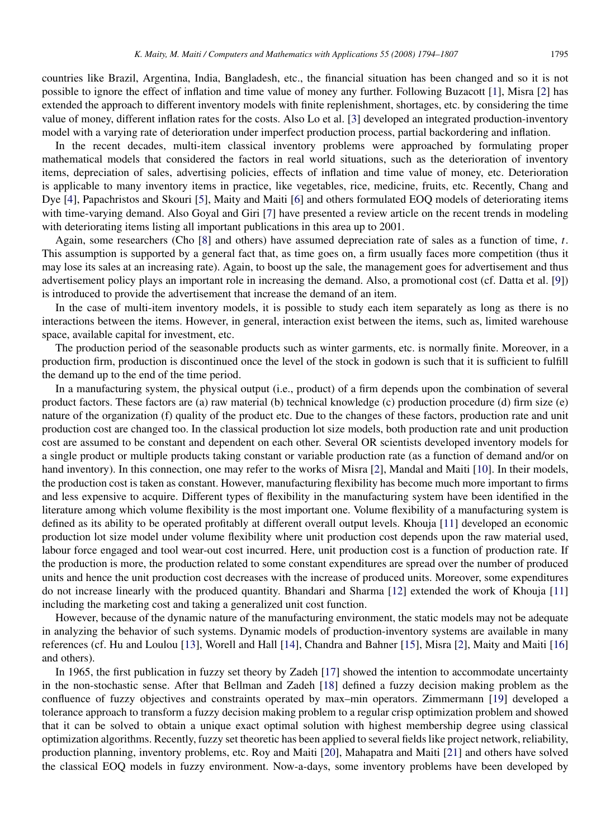countries like Brazil, Argentina, India, Bangladesh, etc., the financial situation has been changed and so it is not possible to ignore the effect of inflation and time value of money any further. Following Buzacott [\[1\]](#page--1-0), Misra [\[2\]](#page--1-1) has extended the approach to different inventory models with finite replenishment, shortages, etc. by considering the time value of money, different inflation rates for the costs. Also Lo et al. [\[3\]](#page--1-2) developed an integrated production-inventory model with a varying rate of deterioration under imperfect production process, partial backordering and inflation.

In the recent decades, multi-item classical inventory problems were approached by formulating proper mathematical models that considered the factors in real world situations, such as the deterioration of inventory items, depreciation of sales, advertising policies, effects of inflation and time value of money, etc. Deterioration is applicable to many inventory items in practice, like vegetables, rice, medicine, fruits, etc. Recently, Chang and Dye [\[4\]](#page--1-3), Papachristos and Skouri [\[5\]](#page--1-4), Maity and Maiti [\[6\]](#page--1-5) and others formulated EOQ models of deteriorating items with time-varying demand. Also Goyal and Giri [\[7\]](#page--1-6) have presented a review article on the recent trends in modeling with deteriorating items listing all important publications in this area up to 2001.

Again, some researchers (Cho [\[8\]](#page--1-7) and others) have assumed depreciation rate of sales as a function of time, *t*. This assumption is supported by a general fact that, as time goes on, a firm usually faces more competition (thus it may lose its sales at an increasing rate). Again, to boost up the sale, the management goes for advertisement and thus advertisement policy plays an important role in increasing the demand. Also, a promotional cost (cf. Datta et al. [\[9\]](#page--1-8)) is introduced to provide the advertisement that increase the demand of an item.

In the case of multi-item inventory models, it is possible to study each item separately as long as there is no interactions between the items. However, in general, interaction exist between the items, such as, limited warehouse space, available capital for investment, etc.

The production period of the seasonable products such as winter garments, etc. is normally finite. Moreover, in a production firm, production is discontinued once the level of the stock in godown is such that it is sufficient to fulfill the demand up to the end of the time period.

In a manufacturing system, the physical output (i.e., product) of a firm depends upon the combination of several product factors. These factors are (a) raw material (b) technical knowledge (c) production procedure (d) firm size (e) nature of the organization (f) quality of the product etc. Due to the changes of these factors, production rate and unit production cost are changed too. In the classical production lot size models, both production rate and unit production cost are assumed to be constant and dependent on each other. Several OR scientists developed inventory models for a single product or multiple products taking constant or variable production rate (as a function of demand and/or on hand inventory). In this connection, one may refer to the works of Misra [\[2\]](#page--1-1), Mandal and Maiti [\[10\]](#page--1-9). In their models, the production cost is taken as constant. However, manufacturing flexibility has become much more important to firms and less expensive to acquire. Different types of flexibility in the manufacturing system have been identified in the literature among which volume flexibility is the most important one. Volume flexibility of a manufacturing system is defined as its ability to be operated profitably at different overall output levels. Khouja [\[11\]](#page--1-10) developed an economic production lot size model under volume flexibility where unit production cost depends upon the raw material used, labour force engaged and tool wear-out cost incurred. Here, unit production cost is a function of production rate. If the production is more, the production related to some constant expenditures are spread over the number of produced units and hence the unit production cost decreases with the increase of produced units. Moreover, some expenditures do not increase linearly with the produced quantity. Bhandari and Sharma [\[12\]](#page--1-11) extended the work of Khouja [\[11\]](#page--1-10) including the marketing cost and taking a generalized unit cost function.

However, because of the dynamic nature of the manufacturing environment, the static models may not be adequate in analyzing the behavior of such systems. Dynamic models of production-inventory systems are available in many references (cf. Hu and Loulou [\[13\]](#page--1-12), Worell and Hall [\[14\]](#page--1-13), Chandra and Bahner [\[15\]](#page--1-14), Misra [\[2\]](#page--1-1), Maity and Maiti [\[16\]](#page--1-15) and others).

In 1965, the first publication in fuzzy set theory by Zadeh [\[17\]](#page--1-16) showed the intention to accommodate uncertainty in the non-stochastic sense. After that Bellman and Zadeh [\[18\]](#page--1-17) defined a fuzzy decision making problem as the confluence of fuzzy objectives and constraints operated by max–min operators. Zimmermann [\[19\]](#page--1-18) developed a tolerance approach to transform a fuzzy decision making problem to a regular crisp optimization problem and showed that it can be solved to obtain a unique exact optimal solution with highest membership degree using classical optimization algorithms. Recently, fuzzy set theoretic has been applied to several fields like project network, reliability, production planning, inventory problems, etc. Roy and Maiti [\[20\]](#page--1-19), Mahapatra and Maiti [\[21\]](#page--1-20) and others have solved the classical EOQ models in fuzzy environment. Now-a-days, some inventory problems have been developed by